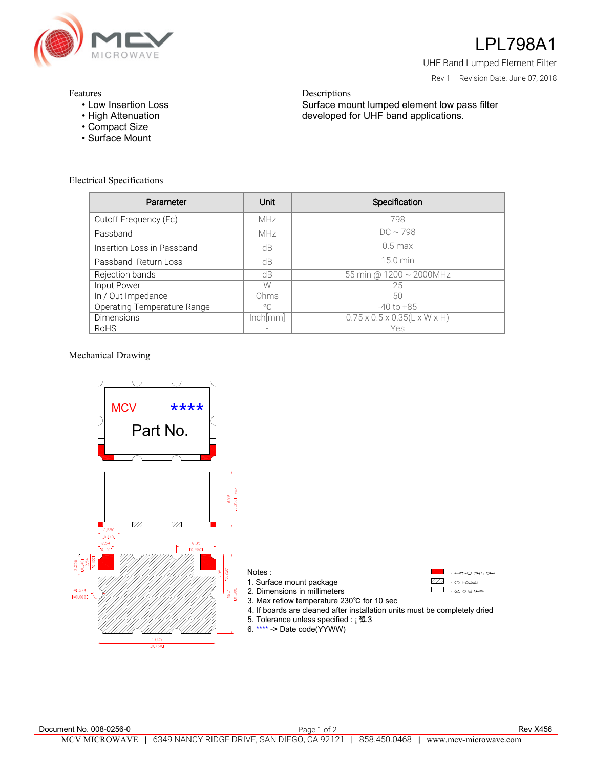

## LPL798A1

UHF Band Lumped Element Filter

Rev 1 – Revision Date: June 07, 2018

## Features

- Low Insertion Loss
- High Attenuation
- Compact Size
- Surface Mount

Descriptions Surface mount lumped element low pass filter developed for UHF band applications.

| <b>Electrical Specifications</b> |  |
|----------------------------------|--|
|----------------------------------|--|

| Parameter                   | Unit        | Specification                             |
|-----------------------------|-------------|-------------------------------------------|
| Cutoff Frequency (Fc)       | <b>MHz</b>  | 798                                       |
| Passband                    | <b>MHz</b>  | $DC \sim 798$                             |
| Insertion Loss in Passband  | dВ          | $0.5$ max                                 |
| Passband Return Loss        | dB          | 15.0 min                                  |
| Rejection bands             | dB          | 55 min @ 1200 ~ 2000MHz                   |
| Input Power                 | W           | 25                                        |
| In / Out Impedance          | Ohms        | 50                                        |
| Operating Temperature Range | $^{\circ}C$ | $-40$ to $+85$                            |
| <b>Dimensions</b>           | lnch[mm]    | $0.75 \times 0.5 \times 0.35$ (L x W x H) |
| RoHS                        |             | Yes                                       |

## Mechanical Drawing